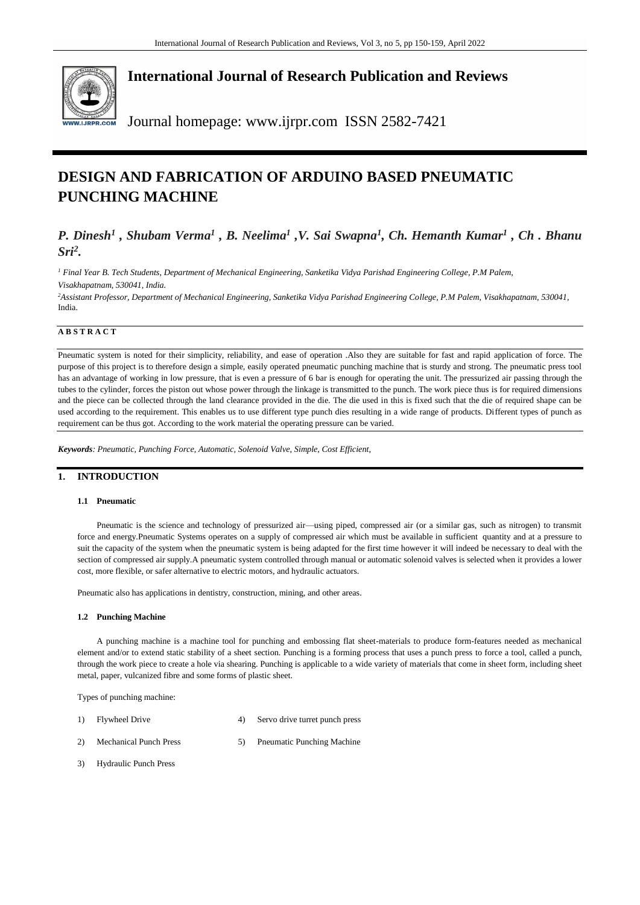

## **International Journal of Research Publication and Reviews**

Journal homepage: www.ijrpr.com ISSN 2582-7421

# **DESIGN AND FABRICATION OF ARDUINO BASED PNEUMATIC PUNCHING MACHINE**

## *P. Dinesh<sup>1</sup> , Shubam Verma<sup>1</sup> , B. Neelima<sup>1</sup> ,V. Sai Swapna<sup>1</sup> , Ch. Hemanth Kumar<sup>1</sup> , Ch . Bhanu Sri<sup>2</sup> .*

*<sup>1</sup> Final Year B. Tech Students, Department of Mechanical Engineering, Sanketika Vidya Parishad Engineering College, P.M Palem, Visakhapatnam, 530041, India.* 

*<sup>2</sup>Assistant Professor, Department of Mechanical Engineering, Sanketika Vidya Parishad Engineering College, P.M Palem, Visakhapatnam, 530041,*  India.

## **A B S T R A C T**

Pneumatic system is noted for their simplicity, reliability, and ease of operation .Also they are suitable for fast and rapid application of force. The purpose of this project is to therefore design a simple, easily operated pneumatic punching machine that is sturdy and strong. The pneumatic press tool has an advantage of working in low pressure, that is even a pressure of 6 bar is enough for operating the unit. The pressurized air passing through the tubes to the cylinder, forces the piston out whose power through the linkage is transmitted to the punch. The work piece thus is for required dimensions and the piece can be collected through the land clearance provided in the die. The die used in this is fixed such that the die of required shape can be used according to the requirement. This enables us to use different type punch dies resulting in a wide range of products. Different types of punch as requirement can be thus got. According to the work material the operating pressure can be varied.

*Keywords: Pneumatic, Punching Force, Automatic, Solenoid Valve, Simple, Cost Efficient,*

## **1. INTRODUCTION**

#### **1.1 Pneumatic**

Pneumatic is the science and technology of pressurized air—using piped, compressed air (or a similar gas, such as nitrogen) to transmit force and energy.Pneumatic Systems operates on a supply of compressed air which must be available in sufficient quantity and at a pressure to suit the capacity of the system when the pneumatic system is being adapted for the first time however it will indeed be necessary to deal with the section of compressed air supply.A pneumatic system controlled through manual or automatic solenoid valves is selected when it provides a lower cost, more flexible, or safer alternative to electric motors, and hydraulic actuators.

Pneumatic also has applications in dentistry, construction, mining, and other areas.

#### **1.2 Punching Machine**

A punching machine is a machine tool for punching and embossing flat sheet-materials to produce form-features needed as mechanical element and/or to extend static stability of a sheet section. Punching is a forming process that uses a punch press to force a tool, called a punch, through the work piece to create a hole via shearing. Punching is applicable to a wide variety of materials that come in sheet form, including sheet metal, paper, vulcanized fibre and some forms of plastic sheet.

Types of punching machine:

- 1) Flywheel Drive 4) Servo drive turret punch press
- 2) Mechanical Punch Press 5) Pneumatic Punching Machine
- 3) Hydraulic Punch Press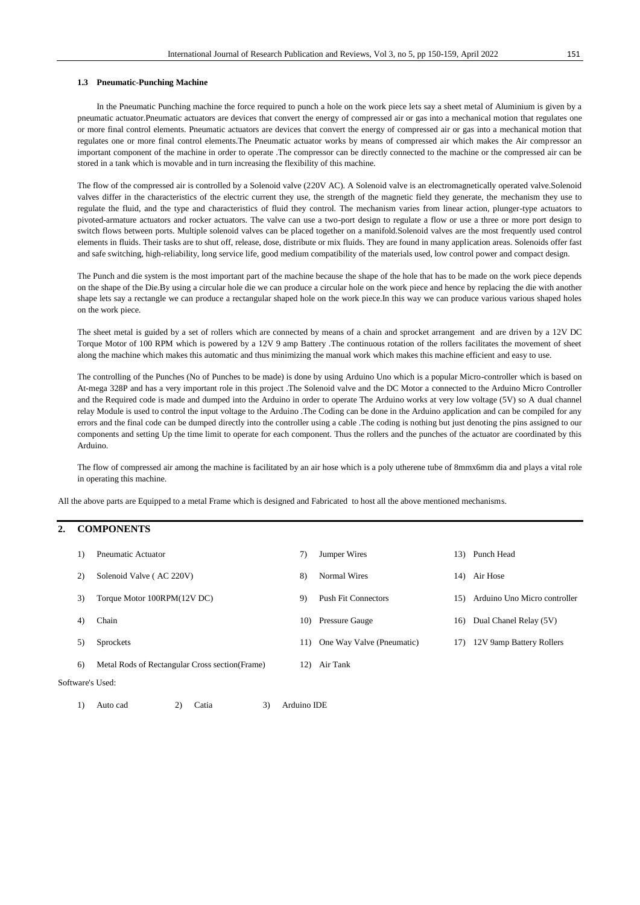#### **1.3 Pneumatic-Punching Machine**

In the Pneumatic Punching machine the force required to punch a hole on the work piece lets say a sheet metal of Aluminium is given by a pneumatic actuator.Pneumatic actuators are devices that convert the energy of compressed air or gas into a mechanical motion that regulates one or more final control elements. Pneumatic actuators are devices that convert the energy of compressed air or gas into a mechanical motion that regulates one or more final control elements.The Pneumatic actuator works by means of compressed air which makes the Air compressor an important component of the machine in order to operate .The compressor can be directly connected to the machine or the compressed air can be stored in a tank which is movable and in turn increasing the flexibility of this machine.

The flow of the compressed air is controlled by a Solenoid valve (220V AC). A Solenoid valve is an electromagnetically operated valve.Solenoid valves differ in the characteristics of the electric current they use, the strength of the magnetic field they generate, the mechanism they use to regulate the fluid, and the type and characteristics of fluid they control. The mechanism varies from linear action, plunger-type actuators to pivoted-armature actuators and rocker actuators. The valve can use a two-port design to regulate a flow or use a three or more port design to switch flows between ports. Multiple solenoid valves can be placed together on a manifold.Solenoid valves are the most frequently used control elements in fluids. Their tasks are to shut off, release, dose, distribute or mix fluids. They are found in many application areas. Solenoids offer fast and safe switching, high-reliability, long service life, good medium compatibility of the materials used, low control power and compact design.

The Punch and die system is the most important part of the machine because the shape of the hole that has to be made on the work piece depends on the shape of the Die.By using a circular hole die we can produce a circular hole on the work piece and hence by replacing the die with another shape lets say a rectangle we can produce a rectangular shaped hole on the work piece.In this way we can produce various various shaped holes on the work piece.

The sheet metal is guided by a set of rollers which are connected by means of a chain and sprocket arrangement and are driven by a 12V DC Torque Motor of 100 RPM which is powered by a 12V 9 amp Battery .The continuous rotation of the rollers facilitates the movement of sheet along the machine which makes this automatic and thus minimizing the manual work which makes this machine efficient and easy to use.

The controlling of the Punches (No of Punches to be made) is done by using Arduino Uno which is a popular Micro-controller which is based on At-mega 328P and has a very important role in this project .The Solenoid valve and the DC Motor a connected to the Arduino Micro Controller and the Required code is made and dumped into the Arduino in order to operate The Arduino works at very low voltage (5V) so A dual channel relay Module is used to control the input voltage to the Arduino .The Coding can be done in the Arduino application and can be compiled for any errors and the final code can be dumped directly into the controller using a cable .The coding is nothing but just denoting the pins assigned to our components and setting Up the time limit to operate for each component. Thus the rollers and the punches of the actuator are coordinated by this Arduino.

The flow of compressed air among the machine is facilitated by an air hose which is a poly utherene tube of 8mmx6mm dia and plays a vital role in operating this machine.

All the above parts are Equipped to a metal Frame which is designed and Fabricated to host all the above mentioned mechanisms.

## **2. COMPONENTS**

| 1)               | Pneumatic Actuator                              | 7)  | Jumper Wires               |     | 13) Punch Head                   |  |  |
|------------------|-------------------------------------------------|-----|----------------------------|-----|----------------------------------|--|--|
| 2)               | Solenoid Valve (AC 220V)                        | 8)  | <b>Normal Wires</b>        |     | 14) Air Hose                     |  |  |
| 3)               | Torque Motor 100RPM(12V DC)                     | 9)  | <b>Push Fit Connectors</b> |     | 15) Arduino Uno Micro controller |  |  |
| 4)               | Chain                                           | 10) | <b>Pressure Gauge</b>      | 16) | Dual Chanel Relay (5V)           |  |  |
| 5)               | Sprockets                                       | 11) | One Way Valve (Pneumatic)  | 17) | 12V 9amp Battery Rollers         |  |  |
| 6)               | Metal Rods of Rectangular Cross section (Frame) | 12) | Air Tank                   |     |                                  |  |  |
| Software's Used: |                                                 |     |                            |     |                                  |  |  |
|                  |                                                 |     |                            |     |                                  |  |  |

1) Auto cad 2) Catia 3) Arduino IDE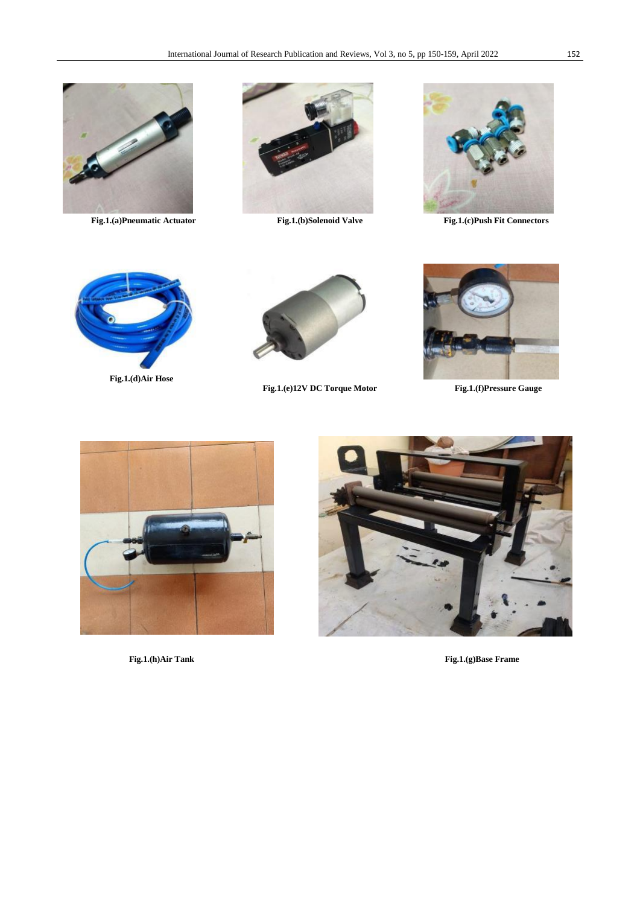





**Fig.1.(a)Pneumatic Actuator Fig.1.(b)Solenoid Valve Fig.1.(c)Push Fit Connectors**



**Fig.1.(d)Air Hose**



**Fig.1.(e)12V DC Torque Motor Fig.1.(f)Pressure Gauge**







 **Fig.1.(h)Air Tank Fig.1.(g)Base Frame**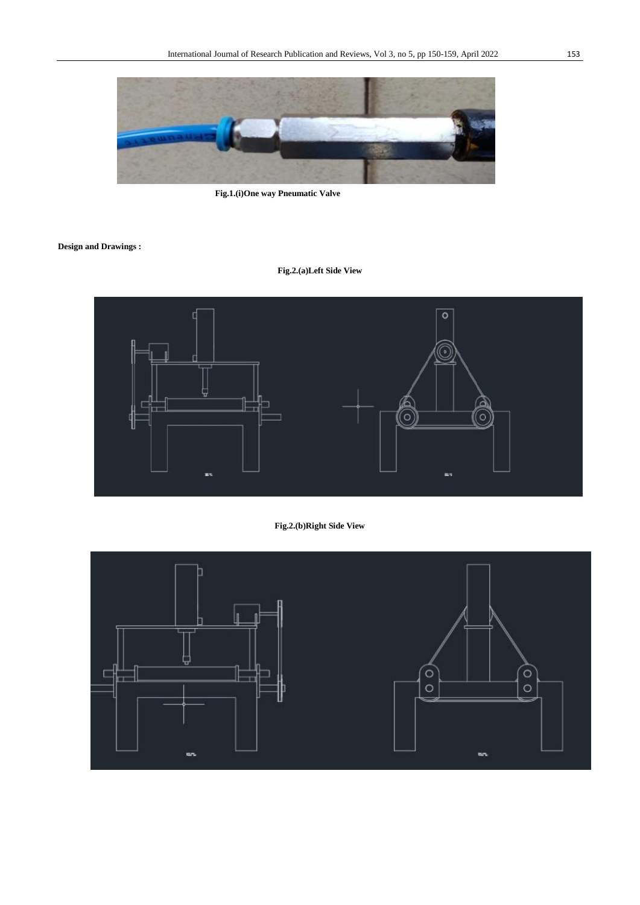

 **Fig.1.(i)One way Pneumatic Valve**

**Design and Drawings :**

## **Fig.2.(a)Left Side View**



## **Fig.2.(b)Right Side View**

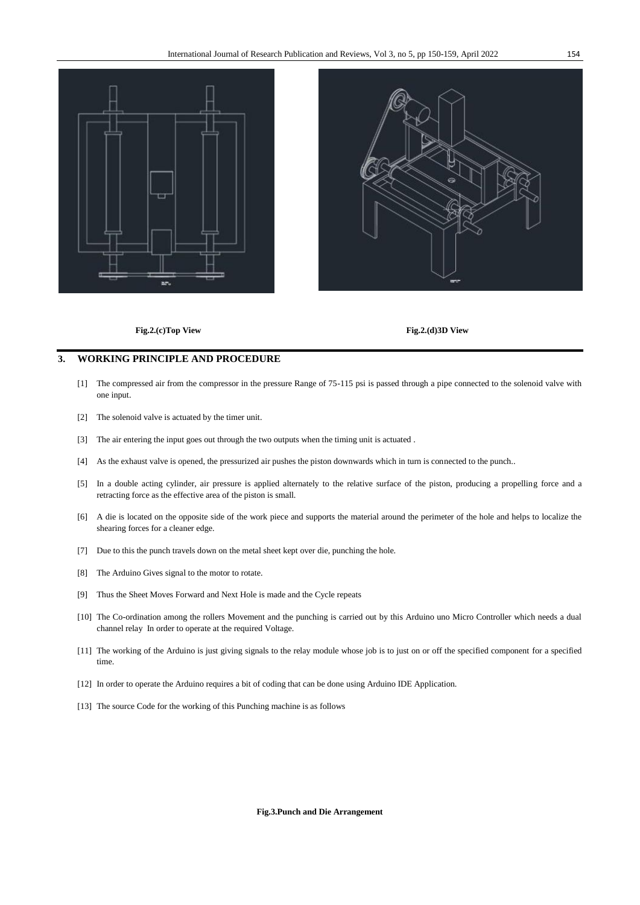



## **Fig.2.(c)Top View Fig.2.(d)3D View**

## **3. WORKING PRINCIPLE AND PROCEDURE**

- [1] The compressed air from the compressor in the pressure Range of 75-115 psi is passed through a pipe connected to the solenoid valve with one input.
- [2] The solenoid valve is actuated by the timer unit.
- [3] The air entering the input goes out through the two outputs when the timing unit is actuated .
- [4] As the exhaust valve is opened, the pressurized air pushes the piston downwards which in turn is connected to the punch..
- [5] In a double acting cylinder, air pressure is applied alternately to the relative surface of the piston, producing a propelling force and a retracting force as the effective area of the piston is small.
- [6] A die is located on the opposite side of the work piece and supports the material around the perimeter of the hole and helps to localize the shearing forces for a cleaner edge.
- [7] Due to this the punch travels down on the metal sheet kept over die, punching the hole.
- [8] The Arduino Gives signal to the motor to rotate.
- [9] Thus the Sheet Moves Forward and Next Hole is made and the Cycle repeats
- [10] The Co-ordination among the rollers Movement and the punching is carried out by this Arduino uno Micro Controller which needs a dual channel relay In order to operate at the required Voltage.
- [11] The working of the Arduino is just giving signals to the relay module whose job is to just on or off the specified component for a specified time.
- [12] In order to operate the Arduino requires a bit of coding that can be done using Arduino IDE Application.
- [13] The source Code for the working of this Punching machine is as follows

#### **Fig.3.Punch and Die Arrangement**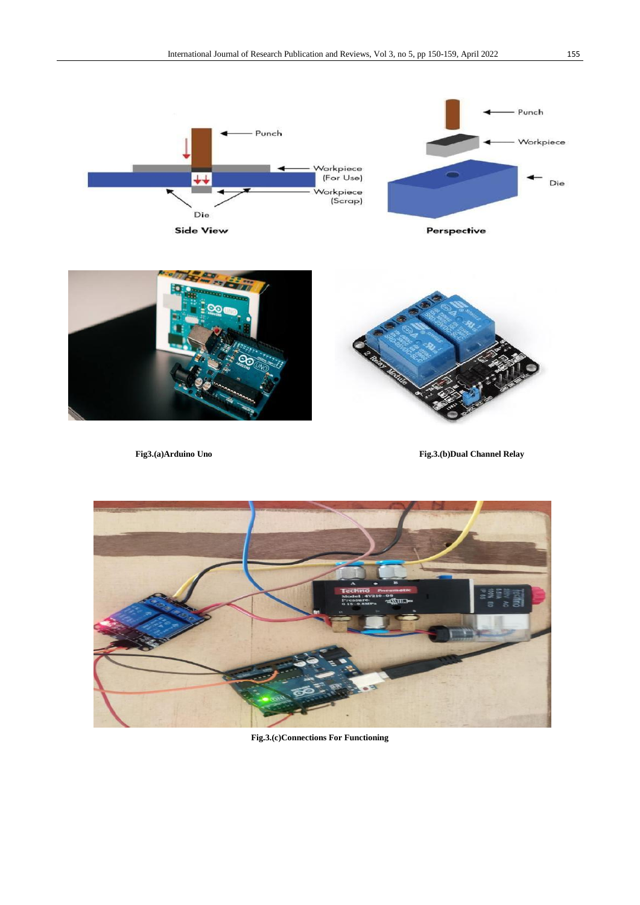



**Fig3.(a)Arduino Uno Fig.3.(b)Dual Channel Relay**



**Fig.3.(c)Connections For Functioning**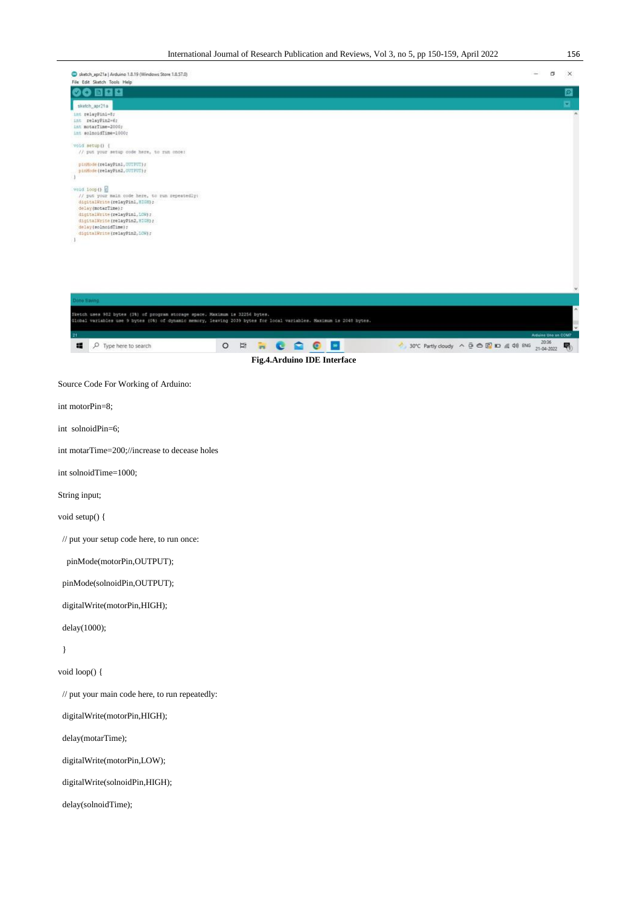| Sketch_apr21a   Arduino 1.8.19 (Windows Store 1.8.57.0)<br>File Edit Sketch Tools Help                                                                                                                                                                       | $\frac{1}{2} \left( \frac{1}{2} \right) \left( \frac{1}{2} \right) \left( \frac{1}{2} \right)$ | σ | $\times$   |
|--------------------------------------------------------------------------------------------------------------------------------------------------------------------------------------------------------------------------------------------------------------|------------------------------------------------------------------------------------------------|---|------------|
| 909<br>D                                                                                                                                                                                                                                                     |                                                                                                |   | EI<br>EI   |
| sketch_apr21a<br>ant relayPin1-8;                                                                                                                                                                                                                            |                                                                                                |   |            |
| int relayPin2=6;<br>int motarTime-2000;<br>int solnoidTime=1000:                                                                                                                                                                                             |                                                                                                |   |            |
| void setup() {<br>// put your setup code here, to run once:                                                                                                                                                                                                  |                                                                                                |   |            |
| pinMode(relayPinl, OUTPUT);<br>pinMode(relayPin2, OUTPUT);<br>ä                                                                                                                                                                                              |                                                                                                |   |            |
| veid loop ()<br>// put your main code here, to run repeatedly:<br>digitalWrite (relayPin1, HIGH) ;<br>delay(motarTime);<br>digitalWrite(relayPin1, LOW);<br>digitalWrite (relayPin2, HIGH) ;<br>delay(solnoidTime);<br>digitalWrite (relayPin2, LOW) r<br>d. |                                                                                                |   |            |
|                                                                                                                                                                                                                                                              |                                                                                                |   |            |
| Jone Saving<br>Sketch uses 902 bytes (3%) of program storage space. Maximum is 32254 bytes.                                                                                                                                                                  |                                                                                                |   |            |
| Global variables use 9 bytes (0%) of dynamic memory, leaving 2039 bytes for local variables. Maximum is 2048 bytes.                                                                                                                                          | Alduine Uno en COMT                                                                            |   | $\check{}$ |
| <b>RCOOD</b><br>30°C Partly doudy ^ @ @ @ m & 40 ENG<br>æ<br>O Type here to search<br>$\circ$<br>Ħ<br>Fig.4.Arduino IDE Interface                                                                                                                            | 20:36<br>21-04-2022                                                                            |   | 喝          |
| Source Code For Working of Arduino:                                                                                                                                                                                                                          |                                                                                                |   |            |
| int motorPin=8;                                                                                                                                                                                                                                              |                                                                                                |   |            |
| int solnoidPin=6;                                                                                                                                                                                                                                            |                                                                                                |   |            |
| int motarTime=200;//increase to decease holes                                                                                                                                                                                                                |                                                                                                |   |            |
| int solnoidTime=1000;                                                                                                                                                                                                                                        |                                                                                                |   |            |
| String input;                                                                                                                                                                                                                                                |                                                                                                |   |            |
| void setup() {                                                                                                                                                                                                                                               |                                                                                                |   |            |
| // put your setup code here, to run once:                                                                                                                                                                                                                    |                                                                                                |   |            |
| pinMode(motorPin,OUTPUT);                                                                                                                                                                                                                                    |                                                                                                |   |            |
| pinMode(solnoidPin,OUTPUT);                                                                                                                                                                                                                                  |                                                                                                |   |            |
| digitalWrite(motorPin,HIGH);                                                                                                                                                                                                                                 |                                                                                                |   |            |
| delay(1000);                                                                                                                                                                                                                                                 |                                                                                                |   |            |
| $\}$                                                                                                                                                                                                                                                         |                                                                                                |   |            |
| void loop() {                                                                                                                                                                                                                                                |                                                                                                |   |            |
| // put your main code here, to run repeatedly:                                                                                                                                                                                                               |                                                                                                |   |            |
| digitalWrite(motorPin,HIGH);                                                                                                                                                                                                                                 |                                                                                                |   |            |
| delay(motarTime);                                                                                                                                                                                                                                            |                                                                                                |   |            |
| digitalWrite(motorPin,LOW);                                                                                                                                                                                                                                  |                                                                                                |   |            |
| digitalWrite(solnoidPin,HIGH);                                                                                                                                                                                                                               |                                                                                                |   |            |
| delay(solnoidTime);                                                                                                                                                                                                                                          |                                                                                                |   |            |
|                                                                                                                                                                                                                                                              |                                                                                                |   |            |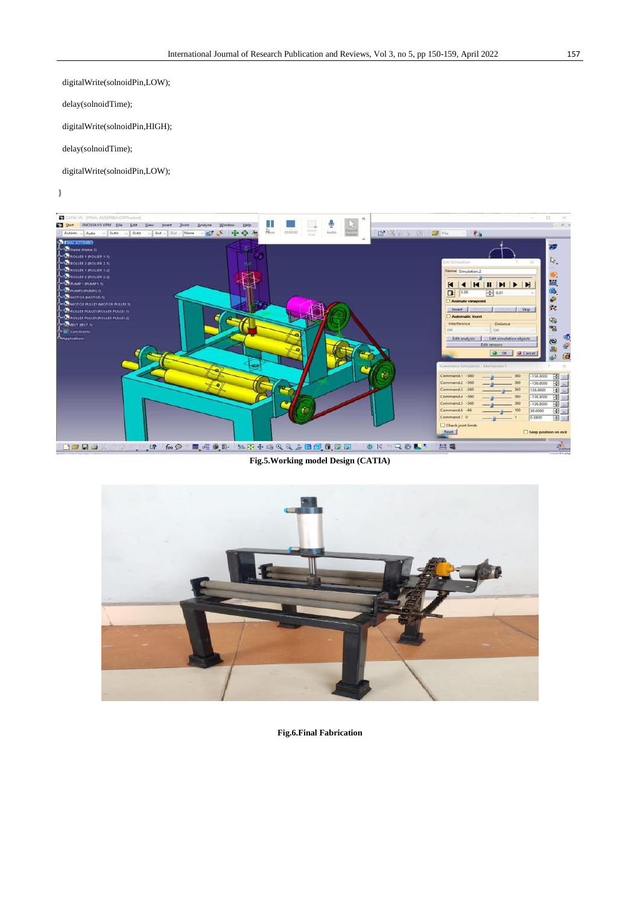digitalWrite(solnoidPin,LOW);

delay(solnoidTime);

digitalWrite(solnoidPin,HIGH);

delay(solnoidTime);

digitalWrite(solnoidPin,LOW);

}



**Fig.5.Working model Design (CATIA)**



**Fig.6.Final Fabrication**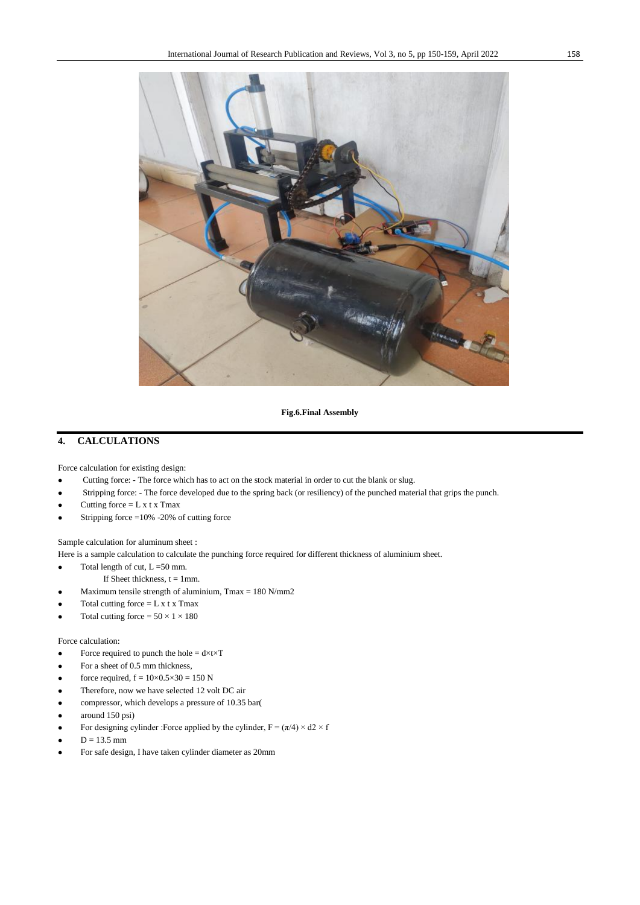

**Fig.6.Final Assembly**

## **4. CALCULATIONS**

Force calculation for existing design:

- Cutting force: The force which has to act on the stock material in order to cut the blank or slug.
- Stripping force: The force developed due to the spring back (or resiliency) of the punched material that grips the punch.
- Cutting force  $= L x t x$  Tmax
- Stripping force =10% -20% of cutting force

Sample calculation for aluminum sheet :

Here is a sample calculation to calculate the punching force required for different thickness of aluminium sheet.

- Total length of cut,  $L = 50$  mm.
	- If Sheet thickness,  $t = 1$ mm.
- Maximum tensile strength of aluminium, Tmax = 180 N/mm2
- Total cutting force  $= L x t x$  Tmax
- Total cutting force =  $50 \times 1 \times 180$

## Force calculation:

- Force required to punch the hole  $= d \times t \times T$
- For a sheet of 0.5 mm thickness,
- force required,  $f = 10 \times 0.5 \times 30 = 150$  N
- Therefore, now we have selected 12 volt DC air
- compressor, which develops a pressure of 10.35 bar(
- around 150 psi)
- For designing cylinder :Force applied by the cylinder,  $F = (\pi/4) \times d2 \times f$
- $D = 13.5$  mm
- For safe design, I have taken cylinder diameter as 20mm